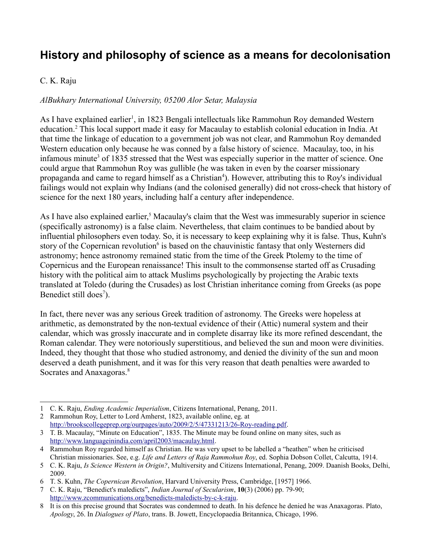## **History and philosophy of science as a means for decolonisation**

## C. K. Raju

## *AlBukhary International University, 05200 Alor Setar, Malaysia*

As I have explained earlier<sup>[1](#page-0-0)</sup>, in 1823 Bengali intellectuals like Rammohun Roy demanded Western education.<sup>[2](#page-0-1)</sup> This local support made it easy for Macaulay to establish colonial education in India. At that time the linkage of education to a government job was not clear, and Rammohun Roy demanded Western education only because he was conned by a false history of science. Macaulay, too, in his infamous minute<sup>[3](#page-0-2)</sup> of 1835 stressed that the West was especially superior in the matter of science. One could argue that Rammohun Roy was gullible (he was taken in even by the coarser missionary propaganda and came to regard himself as a Christian<sup>[4](#page-0-3)</sup>). However, attributing this to Roy's individual failings would not explain why Indians (and the colonised generally) did not cross-check that history of science for the next 180 years, including half a century after independence.

As I have also explained earlier,<sup>[5](#page-0-4)</sup> Macaulay's claim that the West was immesurably superior in science (specifically astronomy) is a false claim. Nevertheless, that claim continues to be bandied about by influential philosophers even today. So, it is necessary to keep explaining why it is false. Thus, Kuhn's story of the Copernican revolution<sup>[6](#page-0-5)</sup> is based on the chauvinistic fantasy that only Westerners did astronomy; hence astronomy remained static from the time of the Greek Ptolemy to the time of Copernicus and the European renaissance! This insult to the commonsense started off as Crusading history with the political aim to attack Muslims psychologically by projecting the Arabic texts translated at Toledo (during the Crusades) as lost Christian inheritance coming from Greeks (as pope Benedict still does<sup>[7](#page-0-6)</sup>).

In fact, there never was any serious Greek tradition of astronomy. The Greeks were hopeless at arithmetic, as demonstrated by the non-textual evidence of their (Attic) numeral system and their calendar, which was grossly inaccurate and in complete disarray like its more refined descendant, the Roman calendar. They were notoriously superstitious, and believed the sun and moon were divinities. Indeed, they thought that those who studied astronomy, and denied the divinity of the sun and moon deserved a death punishment, and it was for this very reason that death penalties were awarded to Socrates and Anaxagoras.<sup>[8](#page-0-7)</sup>

<span id="page-0-0"></span><sup>1</sup> C. K. Raju, *Ending Academic Imperialism*, Citizens International, Penang, 2011.

<span id="page-0-1"></span><sup>2</sup> Rammohun Roy, Letter to Lord Amherst, 1823, available online, eg. at [http://brookscollegeprep.org/ourpages/auto/2009/2/5/47331213/26-Roy-reading.pdf.](http://brookscollegeprep.org/ourpages/auto/2009/2/5/47331213/26-Roy-reading.pdf)

<span id="page-0-2"></span><sup>3</sup> T. B. Macaulay, "Minute on Education", 1835. The Minute may be found online on many sites, such as [http://www.languageinindia.com/april2003/macaulay.html.](http://www.languageinindia.com/april2003/macaulay.html)

<span id="page-0-3"></span><sup>4</sup> Rammohun Roy regarded himself as Christian. He was very upset to be labelled a "heathen" when he criticised Christian missionaries. See, e.g. *Life and Letters of Raja Rammohun Roy*, ed. Sophia Dobson Collet, Calcutta, 1914.

<span id="page-0-4"></span><sup>5</sup> C. K. Raju, *Is Science Western in Origin?*, Multiversity and Citizens International, Penang, 2009. Daanish Books, Delhi, 2009.

<span id="page-0-5"></span><sup>6</sup> T. S. Kuhn, *The Copernican Revolution*, Harvard University Press, Cambridge, [1957] 1966.

<span id="page-0-6"></span><sup>7</sup> C. K. Raju, "Benedict's maledicts", *Indian Journal of Secularism*, **10**(3) (2006) pp. 79-90; [http://www.zcommunications.org/benedicts-maledicts-by-c-k-raju.](http://www.zcommunications.org/benedicts-maledicts-by-c-k-raju)

<span id="page-0-7"></span><sup>8</sup> It is on this precise ground that Socrates was condemned to death. In his defence he denied he was Anaxagoras. Plato, *Apology*, 26. In *Dialogues of Plato*, trans. B. Jowett, Encyclopaedia Britannica, Chicago, 1996.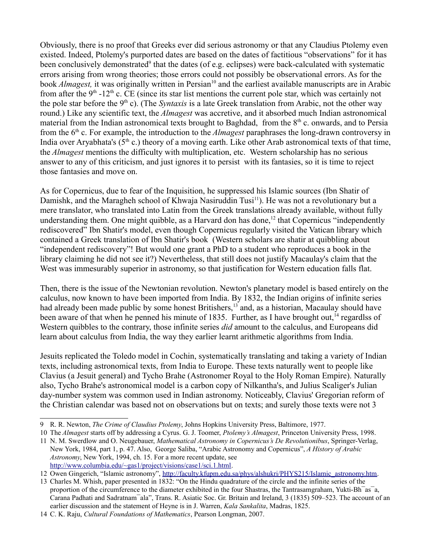Obviously, there is no proof that Greeks ever did serious astronomy or that any Claudius Ptolemy even existed. Indeed, Ptolemy's purported dates are based on the dates of factitious "observations" for it has been conclusively demonstrated<sup>[9](#page-1-0)</sup> that the dates (of e.g. eclipses) were back-calculated with systematic errors arising from wrong theories; those errors could not possibly be observational errors. As for the book *Almagest*, it was originally written in Persian<sup>[10](#page-1-1)</sup> and the earliest available manuscripts are in Arabic from after the  $9<sup>th</sup> -12<sup>th</sup>$  c. CE (since its star list mentions the current pole star, which was certainly not the pole star before the 9<sup>th</sup> c). (The *Syntaxis* is a late Greek translation from Arabic, not the other way round.) Like any scientific text, the *Almagest* was accretive, and it absorbed much Indian astronomical material from the Indian astronomical texts brought to Baghdad, from the  $8<sup>th</sup>$  c. onwards, and to Persia from the 6th c. For example, the introduction to the *Almagest* paraphrases the long-drawn controversy in India over Aryabhata's ( $5<sup>th</sup>$  c.) theory of a moving earth. Like other Arab astronomical texts of that time, the *Almagest* mentions the difficulty with multiplication, etc. Western scholarship has no serious answer to any of this criticism, and just ignores it to persist with its fantasies, so it is time to reject those fantasies and move on.

As for Copernicus, due to fear of the Inquisition, he suppressed his Islamic sources (Ibn Shatir of Damishk, and the Maragheh school of Khwaja Nasiruddin Tusi<sup>[11](#page-1-2)</sup>). He was not a revolutionary but a mere translator, who translated into Latin from the Greek translations already available, without fully understanding them. One might quibble, as a Harvard don has done,<sup>[12](#page-1-3)</sup> that Copernicus "independently rediscovered" Ibn Shatir's model, even though Copernicus regularly visited the Vatican library which contained a Greek translation of Ibn Shatir's book (Western scholars are shatir at quibbling about "independent rediscovery"! But would one grant a PhD to a student who reproduces a book in the library claiming he did not see it?) Nevertheless, that still does not justify Macaulay's claim that the West was immesurably superior in astronomy, so that justification for Western education falls flat.

Then, there is the issue of the Newtonian revolution. Newton's planetary model is based entirely on the calculus, now known to have been imported from India. By 1832, the Indian origins of infinite series had already been made public by some honest Britishers,<sup>[13](#page-1-4)</sup> and, as a historian, Macaulay should have been aware of that when he penned his minute of 1835. Further, as I have brought out,<sup>[14](#page-1-5)</sup> regardlss of Western quibbles to the contrary, those infinite series *did* amount to the calculus, and Europeans did learn about calculus from India, the way they earlier learnt arithmetic algorithms from India.

Jesuits replicated the Toledo model in Cochin, systematically translating and taking a variety of Indian texts, including astronomical texts, from India to Europe. These texts naturally went to people like Clavius (a Jesuit general) and Tycho Brahe (Astronomer Royal to the Holy Roman Empire). Naturally also, Tycho Brahe's astronomical model is a carbon copy of Nilkantha's, and Julius Scaliger's Julian day-number system was common used in Indian astronomy. Noticeably, Clavius' Gregorian reform of the Christian calendar was based not on observations but on texts; and surely those texts were not 3

<span id="page-1-0"></span><sup>9</sup> R. R. Newton, *The Crime of Claudius Ptolemy*, Johns Hopkins University Press, Baltimore, 1977.

<span id="page-1-1"></span><sup>10</sup> The *Almagest* starts off by addressing a Cyrus. G. J. Toomer, *Ptolemy's Almagest*, Princeton University Press, 1998.

<span id="page-1-2"></span><sup>11</sup> N. M. Swerdlow and O. Neugebauer, *Mathematical Astronomy in Copernicus's De Revolutionibus*, Springer-Verlag, New York, 1984, part 1, p. 47. Also, George Saliba, "Arabic Astronomy and Copernicus", *A History of Arabic Astronomy*, New York, 1994, ch. 15. For a more recent update, see [http://www.columbia.edu/~gas1/project/visions/case1/sci.1.html.](http://www.columbia.edu/~gas1/project/visions/case1/sci.1.html)

<span id="page-1-3"></span><sup>12</sup> Owen Gingerich, "Islamic astronomy", [http://faculty.kfupm.edu.sa/phys/alshukri/PHYS215/Islamic\\_astronomy.htm.](http://faculty.kfupm.edu.sa/phys/alshukri/PHYS215/Islamic_astronomy.htm)

<span id="page-1-4"></span><sup>13</sup> Charles M. Whish, paper presented in 1832: "On the Hindu quadrature of the circle and the infinite series of the proportion of the circumference to the diameter exhibited in the four Shastras, the Tantrasamgraham, Yukti-Bh¯as¯a, Carana Padhati and Sadratnam¯ala", Trans. R. Asiatic Soc. Gr. Britain and Ireland, 3 (1835) 509–523. The account of an earlier discussion and the statement of Heyne is in J. Warren, *Kala Sankalita*, Madras, 1825.

<span id="page-1-5"></span><sup>14</sup> C. K. Raju, *Cultural Foundations of Mathematics*, Pearson Longman, 2007.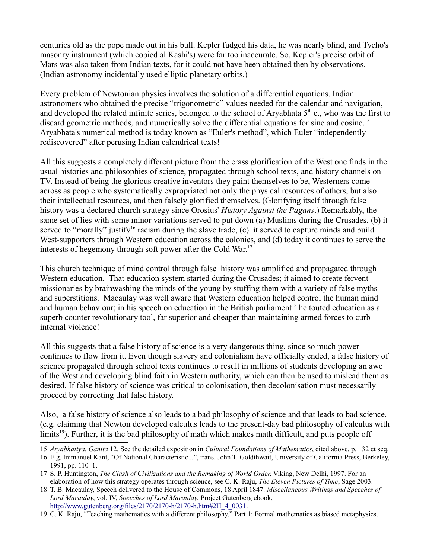centuries old as the pope made out in his bull. Kepler fudged his data, he was nearly blind, and Tycho's masonry instrument (which copied al Kashi's) were far too inaccurate. So, Kepler's precise orbit of Mars was also taken from Indian texts, for it could not have been obtained then by observations. (Indian astronomy incidentally used elliptic planetary orbits.)

Every problem of Newtonian physics involves the solution of a differential equations. Indian astronomers who obtained the precise "trigonometric" values needed for the calendar and navigation, and developed the related infinite series, belonged to the school of Aryabhata 5<sup>th</sup> c., who was the first to discard geometric methods, and numerically solve the differential equations for sine and cosine.<sup>[15](#page-2-0)</sup> Aryabhata's numerical method is today known as "Euler's method", which Euler "independently rediscovered" after perusing Indian calendrical texts!

All this suggests a completely different picture from the crass glorification of the West one finds in the usual histories and philosophies of science, propagated through school texts, and history channels on TV. Instead of being the glorious creative inventors they paint themselves to be, Westerners come across as people who systematically expropriated not only the physical resources of others, but also their intellectual resources, and then falsely glorified themselves. (Glorifying itself through false history was a declared church strategy since Orosius' *History Against the Pagans*.) Remarkably, the same set of lies with some minor variations served to put down (a) Muslims during the Crusades, (b) it served to "morally" justify<sup>[16](#page-2-1)</sup> racism during the slave trade, (c) it served to capture minds and build West-supporters through Western education across the colonies, and (d) today it continues to serve the interests of hegemony through soft power after the Cold War.<sup>[17](#page-2-2)</sup>

This church technique of mind control through false history was amplified and propagated through Western education. That education system started during the Crusades; it aimed to create fervent missionaries by brainwashing the minds of the young by stuffing them with a variety of false myths and superstitions. Macaulay was well aware that Western education helped control the human mind and human behaviour; in his speech on education in the British parliament<sup>[18](#page-2-3)</sup> he touted education as a superb counter revolutionary tool, far superior and cheaper than maintaining armed forces to curb internal violence!

All this suggests that a false history of science is a very dangerous thing, since so much power continues to flow from it. Even though slavery and colonialism have officially ended, a false history of science propagated through school texts continues to result in millions of students developing an awe of the West and developing blind faith in Western authority, which can then be used to mislead them as desired. If false history of science was critical to colonisation, then decolonisation must necessarily proceed by correcting that false history.

Also, a false history of science also leads to a bad philosophy of science and that leads to bad science. (e.g. claiming that Newton developed calculus leads to the present-day bad philosophy of calculus with limits<sup>[19](#page-2-4)</sup>). Further, it is the bad philosophy of math which makes math difficult, and puts people off

<span id="page-2-0"></span><sup>15</sup> *Aryabhatiya*, *Ganita* 12. See the detailed exposition in *Cultural Foundations of Mathematics*, cited above, p. 132 et seq.

<span id="page-2-1"></span><sup>16</sup> E.g. Immanuel Kant, "Of National Characteristic...", trans. John T. Goldthwait, University of California Press, Berkeley, 1991, pp. 110–1.

<span id="page-2-2"></span><sup>17</sup> S. P. Huntington, *The Clash of Civilizations and the Remaking of World Order*, Viking, New Delhi, 1997. For an elaboration of how this strategy operates through science, see C. K. Raju, *The Eleven Pictures of Time*, Sage 2003.

<span id="page-2-3"></span><sup>18</sup> T. B. Macaulay, Speech delivered to the House of Commons, 18 April 1847. *Miscellaneous Writings and Speeches of Lord Macaulay*, vol. IV, *Speeches of Lord Macaulay.* Project Gutenberg ebook, [http://www.gutenberg.org/files/2170/2170-h/2170-h.htm#2H\\_4\\_0031.](http://www.gutenberg.org/files/2170/2170-h/2170-h.htm#2H_4_0031)

<span id="page-2-4"></span><sup>19</sup> C. K. Raju, "Teaching mathematics with a different philosophy." Part 1: Formal mathematics as biased metaphysics.